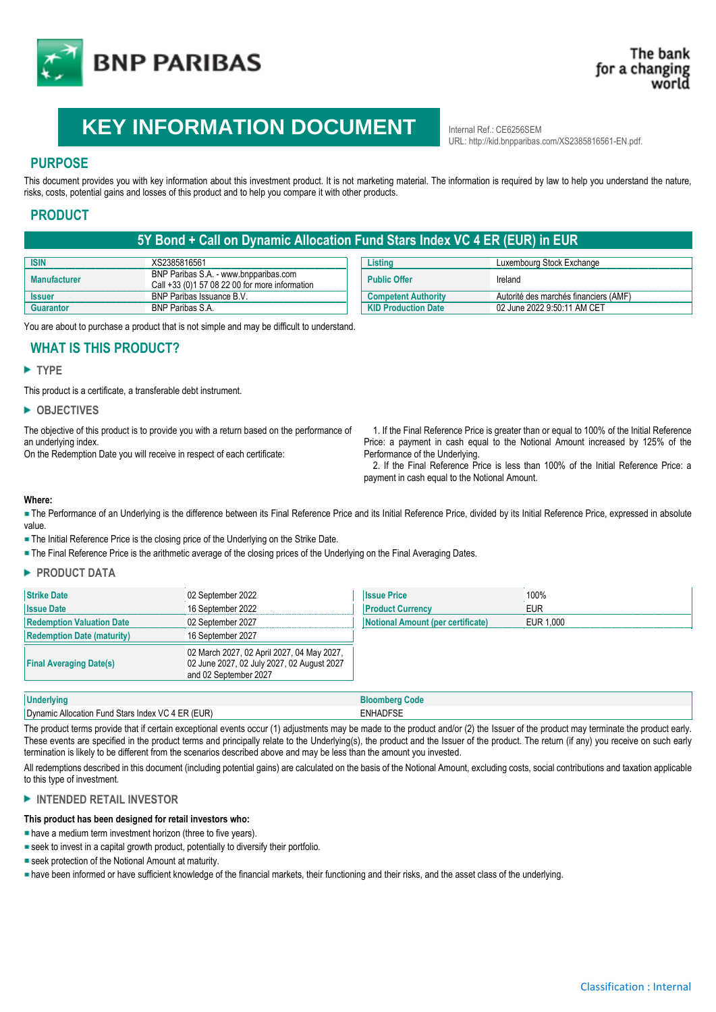

# **KEY INFORMATION DOCUMENT** Internal Ref.: CE6256SEM

URL: http://kid.bnpparibas.com/XS2385816561-EN.pdf.

# **PURPOSE**

This document provides you with key information about this investment product. It is not marketing material. The information is required by law to help you understand the nature, risks, costs, potential gains and losses of this product and to help you compare it with other products.

# **PRODUCT**

# **5Y Bond + Call on Dynamic Allocation Fund Stars Index VC 4 ER (EUR) in EUR**

| <b>ISIN</b>         | XS2385816561                                                                            | Listino                    | Luxembourg Stock Exchange             |
|---------------------|-----------------------------------------------------------------------------------------|----------------------------|---------------------------------------|
| <b>Manufacturer</b> | BNP Paribas S.A. - www.bnpparibas.com<br>Call +33 (0)1 57 08 22 00 for more information | <b>Public Offer</b>        | Ireland                               |
| <b>Issuer</b>       | BNP Paribas Issuance B.V.                                                               | <b>Competent Authority</b> | Autorité des marchés financiers (AMF) |
| Guarantor           | <b>BNP Paribas S.A.</b>                                                                 | <b>KID Production Date</b> | 02 June 2022 9:50:11 AM CET           |

You are about to purchase a product that is not simple and may be difficult to understand.

# **WHAT IS THIS PRODUCT?**

## **TYPE**

This product is a certificate, a transferable debt instrument.

## **OBJECTIVES**

The objective of this product is to provide you with a return based on the performance of an underlying index.

On the Redemption Date you will receive in respect of each certificate:

 1. If the Final Reference Price is greater than or equal to 100% of the Initial Reference Price: a payment in cash equal to the Notional Amount increased by 125% of the Performance of the Underlying.

 2. If the Final Reference Price is less than 100% of the Initial Reference Price: a payment in cash equal to the Notional Amount.

#### **Where:**

The Performance of an Underlying is the difference between its Final Reference Price and its Initial Reference Price, divided by its Initial Reference Price, expressed in absolute value.

**- The Initial Reference Price is the closing price of the Underlying on the Strike Date.** 

The Final Reference Price is the arithmetic average of the closing prices of the Underlying on the Final Averaging Dates.

## **PRODUCT DATA**

| <b>Strike Date</b>                                                                                                                                  | 02 September 2022 | <b>Issue Price</b>                | 100%       |  |
|-----------------------------------------------------------------------------------------------------------------------------------------------------|-------------------|-----------------------------------|------------|--|
| <b>Issue Date</b>                                                                                                                                   | 16 September 2022 | <b>Product Currency</b>           | <b>EUR</b> |  |
| <b>Redemption Valuation Date</b>                                                                                                                    | 02 September 2027 | Notional Amount (per certificate) | EUR 1.000  |  |
| <b>Redemption Date (maturity)</b>                                                                                                                   | 16 September 2027 |                                   |            |  |
| 02 March 2027, 02 April 2027, 04 May 2027,<br>02 June 2027, 02 July 2027, 02 August 2027<br><b>Final Averaging Date(s)</b><br>and 02 September 2027 |                   |                                   |            |  |

| <b>Underlying</b>                                      | Code                                                                      |
|--------------------------------------------------------|---------------------------------------------------------------------------|
| c Allocation Fund Stars Index VC 4 ER (EUR)<br>Dynamic | <b>ENHADFSE</b>                                                           |
| $-1$<br>$\lambda$<br>.<br>$\cdots$                     | $\mathbf{u}$ $\mathbf{v}$<br>$\cdot$ $\cdot$<br>$\sim$ $\sim$<br>$\cdots$ |

The product terms provide that if certain exceptional events occur (1) adjustments may be made to the product and/or (2) the Issuer of the product may terminate the product early. These events are specified in the product terms and principally relate to the Underlying(s), the product and the Issuer of the product. The return (if any) you receive on such early termination is likely to be different from the scenarios described above and may be less than the amount you invested.

All redemptions described in this document (including potential gains) are calculated on the basis of the Notional Amount, excluding costs, social contributions and taxation applicable to this type of investment.

## **INTENDED RETAIL INVESTOR**

## **This product has been designed for retail investors who:**

have a medium term investment horizon (three to five years).

- seek to invest in a capital growth product, potentially to diversify their portfolio.
- seek protection of the Notional Amount at maturity.

have been informed or have sufficient knowledge of the financial markets, their functioning and their risks, and the asset class of the underlying.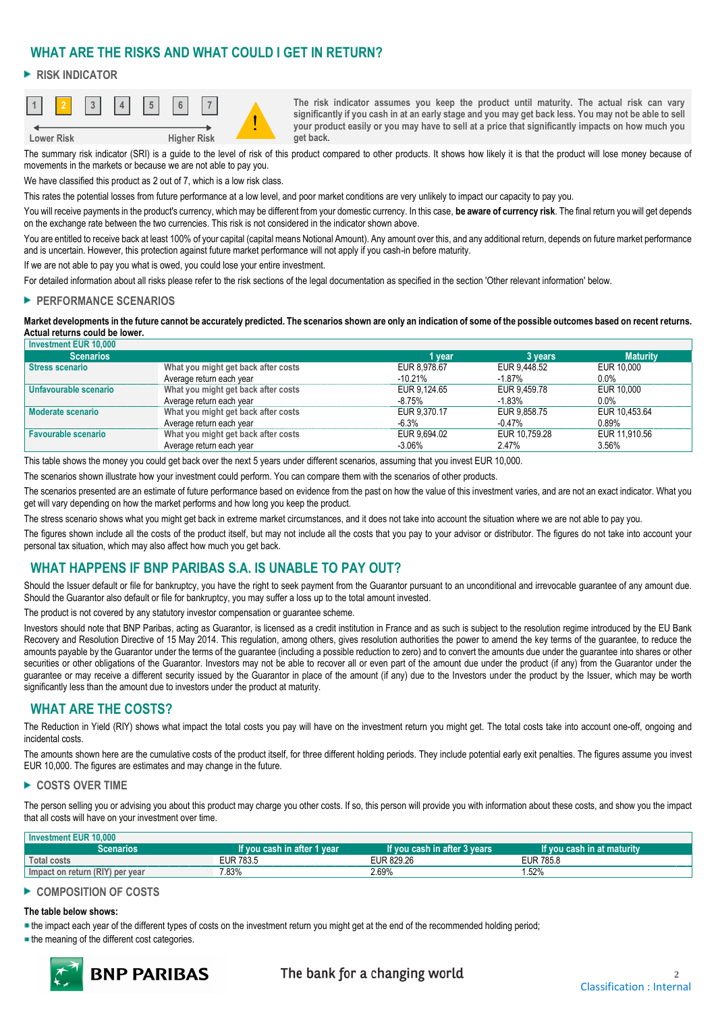# **WHAT ARE THE RISKS AND WHAT COULD I GET IN RETURN?**

## **RISK INDICATOR**



**The risk indicator assumes you keep the product until maturity. The actual risk can vary significantly if you cash in at an early stage and you may get back less. You may not be able to sell your product easily or you may have to sell at a price that significantly impacts on how much you get back.**

The summary risk indicator (SRI) is a guide to the level of risk of this product compared to other products. It shows how likely it is that the product will lose money because of movements in the markets or because we are not able to pay you.

We have classified this product as 2 out of 7, which is a low risk class.

This rates the potential losses from future performance at a low level, and poor market conditions are very unlikely to impact our capacity to pay you.

You will receive payments in the product's currency, which may be different from your domestic currency. In this case, **be aware of currency risk**. The final return you will get depends on the exchange rate between the two currencies. This risk is not considered in the indicator shown above.

You are entitled to receive back at least 100% of your capital (capital means Notional Amount). Any amount over this, and any additional return, depends on future market performance and is uncertain. However, this protection against future market performance will not apply if you cash-in before maturity.

If we are not able to pay you what is owed, you could lose your entire investment.

For detailed information about all risks please refer to the risk sections of the legal documentation as specified in the section 'Other relevant information' below.

## **PERFORMANCE SCENARIOS**

**Market developments in the future cannot be accurately predicted. The scenarios shown are only an indication of some of the possible outcomes based on recent returns. Actual returns could be lower.**

| <b>Investment EUR 10.000</b> |                                     |              |               |                 |
|------------------------------|-------------------------------------|--------------|---------------|-----------------|
| <b>Scenarios</b>             |                                     | 1 vear       | 3 years       | <b>Maturity</b> |
| <b>Stress scenario</b>       | What you might get back after costs | EUR 8.978.67 | EUR 9.448.52  | EUR 10,000      |
|                              | Average return each year            | $-10.21\%$   | $-1.87%$      | $0.0\%$         |
| Unfavourable scenario        | What you might get back after costs | EUR 9.124.65 | EUR 9.459.78  | EUR 10.000      |
|                              | Average return each year            | -8.75%       | $-1.83%$      | $0.0\%$         |
| <b>Moderate scenario</b>     | What you might get back after costs | EUR 9.370.17 | EUR 9.858.75  | EUR 10.453.64   |
|                              | Average return each year            | $-6.3%$      | $-0.47%$      | 0.89%           |
| <b>Favourable scenario</b>   | What you might get back after costs | EUR 9.694.02 | EUR 10.759.28 | EUR 11.910.56   |
|                              | Average return each year            | $-3.06\%$    | 2.47%         | 3.56%           |

This table shows the money you could get back over the next 5 years under different scenarios, assuming that you invest EUR 10,000.

The scenarios shown illustrate how your investment could perform. You can compare them with the scenarios of other products.

The scenarios presented are an estimate of future performance based on evidence from the past on how the value of this investment varies, and are not an exact indicator. What you get will vary depending on how the market performs and how long you keep the product.

The stress scenario shows what you might get back in extreme market circumstances, and it does not take into account the situation where we are not able to pay you.

The figures shown include all the costs of the product itself, but may not include all the costs that you pay to your advisor or distributor. The figures do not take into account your personal tax situation, which may also affect how much you get back.

# **WHAT HAPPENS IF BNP PARIBAS S.A. IS UNABLE TO PAY OUT?**

Should the Issuer default or file for bankruptcy, you have the right to seek payment from the Guarantor pursuant to an unconditional and irrevocable guarantee of any amount due. Should the Guarantor also default or file for bankruptcy, you may suffer a loss up to the total amount invested.

The product is not covered by any statutory investor compensation or guarantee scheme.

Investors should note that BNP Paribas, acting as Guarantor, is licensed as a credit institution in France and as such is subject to the resolution regime introduced by the EU Bank Recovery and Resolution Directive of 15 May 2014. This regulation, among others, gives resolution authorities the power to amend the key terms of the guarantee, to reduce the amounts payable by the Guarantor under the terms of the guarantee (including a possible reduction to zero) and to convert the amounts due under the guarantee into shares or other securities or other obligations of the Guarantor. Investors may not be able to recover all or even part of the amount due under the product (if any) from the Guarantor under the guarantee or may receive a different security issued by the Guarantor in place of the amount (if any) due to the Investors under the product by the Issuer, which may be worth significantly less than the amount due to investors under the product at maturity.

# **WHAT ARE THE COSTS?**

The Reduction in Yield (RIY) shows what impact the total costs you pay will have on the investment return you might get. The total costs take into account one-off, ongoing and incidental costs.

The amounts shown here are the cumulative costs of the product itself, for three different holding periods. They include potential early exit penalties. The figures assume you invest EUR 10,000. The figures are estimates and may change in the future.

## ► COSTS OVER TIME

**Investment EUR 10,000**

The person selling you or advising you about this product may charge you other costs. If so, this person will provide you with information about these costs, and show you the impact that all costs will have on your investment over time.

| <b>INVESURENT EUR TUJUU</b>     |                                        |                                   |                                                          |
|---------------------------------|----------------------------------------|-----------------------------------|----------------------------------------------------------|
| Scenarios                       | / If you cash in after<br>after 1 vear | lf vou cash in after 3<br>3 years | $\blacksquare$ If you cash in at maturity $\blacksquare$ |
| <b>Total costs</b>              | EUR 783.5                              | 829.26<br>EL ID<br>≞UM            | 785.8<br>EUR<br>_____                                    |
| Impact on return (RIY) per year | 7.83%                                  | 2.69%                             | 1.52%                                                    |

## ► COMPOSITION OF COSTS

## **The table below shows:**

the impact each year of the different types of costs on the investment return you might get at the end of the recommended holding period;

**the meaning of the different cost categories.**